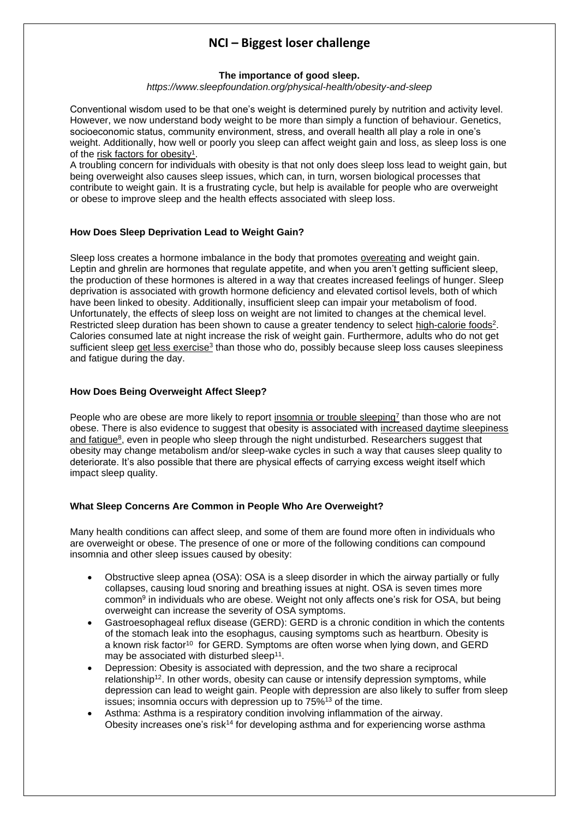# **NCI – Biggest loser challenge**

#### **The importance of good sleep.**

*https://www.sleepfoundation.org/physical-health/obesity-and-sleep*

Conventional wisdom used to be that one's weight is determined purely by nutrition and activity level. However, we now understand body weight to be more than simply a function of behaviour. Genetics, socioeconomic status, community environment, stress, and overall health all play a role in one's weight. Additionally, how well or poorly you sleep can affect weight gain and loss, as sleep loss is one of the risk factors for [obesity](https://www.ncbi.nlm.nih.gov/pubmed/21659802)<sup>1</sup>.

A troubling concern for individuals with obesity is that not only does sleep loss lead to weight gain, but being overweight also causes sleep issues, which can, in turn, worsen biological processes that contribute to weight gain. It is a frustrating cycle, but help is available for people who are overweight or obese to improve sleep and the health effects associated with sleep loss.

### **How Does Sleep Deprivation Lead to Weight Gain?**

Sleep loss creates a hormone imbalance in the body that promotes [overeating](https://www.sleepfoundation.org/physical-health/sleep-and-overeating) and weight gain. Leptin and ghrelin are hormones that regulate appetite, and when you aren't getting sufficient sleep, the production of these hormones is altered in a way that creates increased feelings of hunger. Sleep deprivation is associated with growth hormone deficiency and elevated cortisol levels, both of which have been linked to obesity. Additionally, insufficient sleep can impair your metabolism of food. Unfortunately, the effects of sleep loss on weight are not limited to changes at the chemical level. Restricted sleep duration has been shown to cause a greater tendency to select [high-calorie](https://pubmed.ncbi.nlm.nih.gov/23922121/) foods<sup>2</sup>. Calories consumed late at night increase the risk of weight gain. Furthermore, adults who do not get sufficient sleep get less [exercise](https://pubmed.ncbi.nlm.nih.gov/25729341/)<sup>3</sup> than those who do, possibly because sleep loss causes sleepiness and fatigue during the day.

### **How Does Being Overweight Affect Sleep?**

People who are obese are more likely to report [insomnia](https://pubmed.ncbi.nlm.nih.gov/16983058/) or trouble sleeping<sup>7</sup> than those who are not obese. There is also evidence to suggest that obesity is associated with increased daytime [sleepiness](https://pubmed.ncbi.nlm.nih.gov/9645828/) and [fatigue](https://pubmed.ncbi.nlm.nih.gov/9645828/)<sup>8</sup>, even in people who sleep through the night undisturbed. Researchers suggest that obesity may change metabolism and/or sleep-wake cycles in such a way that causes sleep quality to deteriorate. It's also possible that there are physical effects of carrying excess weight itself which impact sleep quality.

#### **What Sleep Concerns Are Common in People Who Are Overweight?**

Many health conditions can affect sleep, and some of them are found more often in individuals who are overweight or obese. The presence of one or more of the following conditions can compound insomnia and other sleep issues caused by obesity:

- [Obstructive](https://www.sleepfoundation.org/sleep-apnea/obstructive-sleep-apnea) sleep apnea (OSA): OSA is a sleep disorder in which the airway partially or fully collapses, causing loud snoring and breathing issues at night. OSA is [seven](https://www.msdmanuals.com/professional/pulmonary-disorders/sleep-apnea/obstructive-sleep-apnea) times more [common](https://www.msdmanuals.com/professional/pulmonary-disorders/sleep-apnea/obstructive-sleep-apnea)<sup>9</sup> in individuals who are obese. [Weight](https://www.sleepfoundation.org/sleep-apnea/weight-loss-and-sleep-apnea) not only affects one's risk for OSA, but being overweight can increase the severity of OSA symptoms.
- Gastroesophageal reflux disease (GERD): GERD is a chronic condition in which the contents of the stomach leak into the esophagus, causing symptoms such as heartburn. Obesity is a [known](https://medlineplus.gov/ency/article/000265.htm) risk factor<sup>10</sup> for GERD. Symptoms are often worse when lying down, and GERD may be associated with [disturbed](https://www.ncbi.nlm.nih.gov/pubmed/20535322) sleep<sup>11</sup>.
- Depression: Obesity is associated with depression, and the two share a [reciprocal](https://pubmed.ncbi.nlm.nih.gov/20194822/) [relationship](https://pubmed.ncbi.nlm.nih.gov/20194822/)<sup>12</sup>. In other words, obesity can cause or intensify depression symptoms, while depression can lead to weight gain. People with depression are also likely to suffer from sleep issues; insomnia occurs with depression up to [75%](https://pubmed.ncbi.nlm.nih.gov/18979946/)<sup>13</sup> of the time.
- Asthma: Asthma is a respiratory condition involving inflammation of the airway. Obesity [increases](https://www.nhlbi.nih.gov/health-topics/asthma) one's risk<sup>14</sup> for developing asthma and for experiencing worse asthma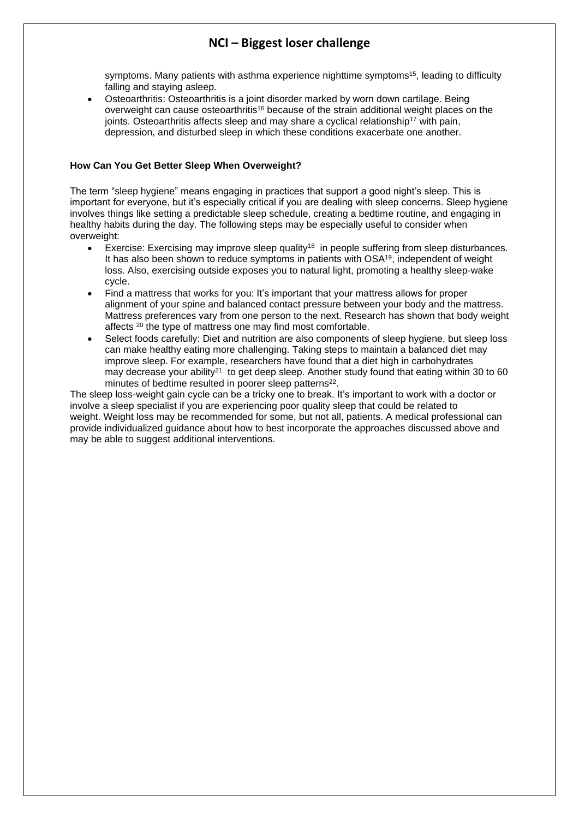# **NCI – Biggest loser challenge**

[symptoms](https://pubmed.ncbi.nlm.nih.gov/23678304/). Many patients with asthma experience nighttime symptoms<sup>15</sup>, leading to difficulty falling and staying asleep.

• Osteoarthritis: Osteoarthritis is a joint disorder marked by worn down cartilage. Being overweight can cause [osteoarthritis](https://www.cdc.gov/arthritis/basics/osteoarthritis.htm)<sup>16</sup> because of the strain additional weight places on the joints. Osteoarthritis affects sleep and may share a cyclical [relationship](https://pubmed.ncbi.nlm.nih.gov/25283955/)<sup>17</sup> with pain, depression, and disturbed sleep in which these conditions exacerbate one another.

#### **How Can You Get Better Sleep When Overweight?**

The term "sleep [hygiene"](https://www.sleepfoundation.org/sleep-hygiene) means engaging in practices that support a good night's sleep. This is important for everyone, but it's especially critical if you are dealing with sleep concerns. Sleep hygiene involves things like setting a predictable sleep schedule, creating a bedtime routine, and engaging in healthy habits during the day. The following steps may be especially useful to consider when overweight:

- Exercise: Exercising may [improve](https://pubmed.ncbi.nlm.nih.gov/22884182/) sleep quality<sup>18</sup> in people suffering from sleep disturbances. It has also been shown to reduce [symptoms](https://pubmed.ncbi.nlm.nih.gov/24077936/) in patients with OSA<sup>19</sup>, independent of weight loss. Also, exercising outside exposes you to natural light, promoting a healthy sleep-wake cycle.
- Find a mattress that works for you: It's important that your mattress allows for proper alignment of your spine and balanced contact pressure between your body and the mattress. Mattress preferences vary from one person to the next. Research has shown that body [weight](https://pubmed.ncbi.nlm.nih.gov/30701143/) [affects](https://pubmed.ncbi.nlm.nih.gov/30701143/) <sup>20</sup> the type of mattress one may find most comfortable.
- Select foods carefully: Diet and [nutrition](https://www.sleepfoundation.org/nutrition) are also components of sleep hygiene, but sleep loss can make healthy eating more challenging. Taking steps to maintain a balanced diet may improve sleep. For example, researchers have found that a diet high in carbohydrates may [decrease](https://www.ncbi.nlm.nih.gov/pubmed/27633109) your ability<sup>21</sup> to get deep sleep. Another study found that eating within 30 to 60 minutes of bedtime resulted in poorer sleep [patterns](https://www.ncbi.nlm.nih.gov/pubmed/22171206)<sup>22</sup>.

The sleep loss-weight gain cycle can be a tricky one to break. It's important to work with a doctor or involve a sleep specialist if you are experiencing poor quality sleep that could be related to weight. [Weight](https://www.sleepfoundation.org/physical-health/weight-loss-and-sleep) loss may be recommended for some, but not all, patients. A medical professional can provide individualized guidance about how to best incorporate the approaches discussed above and may be able to suggest additional interventions.